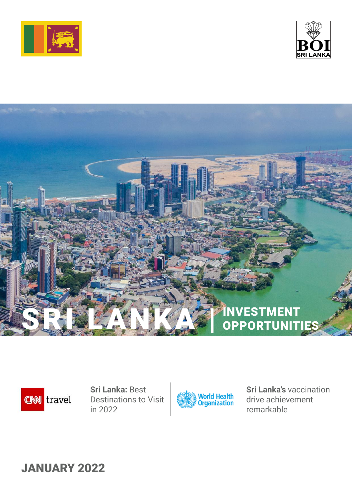







**Sri Lanka:** Best Destinations to Visit in 2022



**Sri Lanka's** vaccination drive achievement remarkable

JANUARY 2022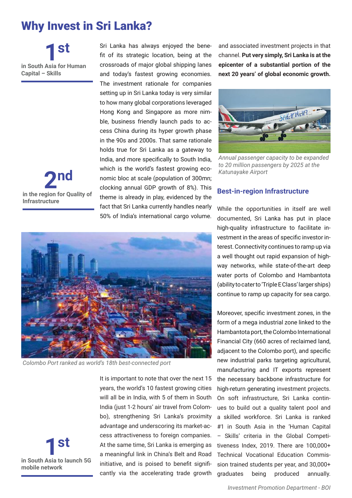# Why Invest in Sri Lanka?

**in South Asia for Human Capital – Skills 1st**



Sri Lanka has always enjoyed the benefit of its strategic location, being at the crossroads of major global shipping lanes and today's fastest growing economies. The investment rationale for companies setting up in Sri Lanka today is very similar to how many global corporations leveraged Hong Kong and Singapore as more nimble, business friendly launch pads to access China during its hyper growth phase in the 90s and 2000s. That same rationale holds true for Sri Lanka as a gateway to India, and more specifically to South India, which is the world's fastest growing economic bloc at scale (population of 300mn; clocking annual GDP growth of 8%). This theme is already in play, evidenced by the fact that Sri Lanka currently handles nearly 50% of India's international cargo volume.

and associated investment projects in that channel. **Put very simply, Sri Lanka is at the epicenter of a substantial portion of the next 20 years' of global economic growth.**



*Annual passenger capacity to be expanded to 20 million passengers by 2025 at the Katunayake Airport*

### **Best-in-region Infrastructure**

While the opportunities in itself are well documented, Sri Lanka has put in place high-quality infrastructure to facilitate investment in the areas of specific investor interest. Connectivity continues to ramp up via a well thought out rapid expansion of highway networks, while state-of-the-art deep water ports of Colombo and Hambantota (ability to cater to 'Triple E Class' larger ships) continue to ramp up capacity for sea cargo.

Moreover, specific investment zones, in the form of a mega industrial zone linked to the Hambantota port, the Colombo International Financial City (660 acres of reclaimed land, adjacent to the Colombo port), and specific new industrial parks targeting agricultural, manufacturing and IT exports represent the necessary backbone infrastructure for high-return generating investment projects. On soft infrastructure, Sri Lanka continues to build out a quality talent pool and a skilled workforce. Sri Lanka is ranked #1 in South Asia in the 'Human Capital – Skills' criteria in the Global Competitiveness Index, 2019. There are 100,000+ Technical Vocational Education Commission trained students per year, and 30,000+ graduates being produced annually.



*Colombo Port ranked as world's 18th best-connected port*



It is important to note that over the next 15 years, the world's 10 fastest growing cities will all be in India, with 5 of them in South India (just 1-2 hours' air travel from Colombo), strengthening Sri Lanka's proximity advantage and underscoring its market-access attractiveness to foreign companies. At the same time, Sri Lanka is emerging as a meaningful link in China's Belt and Road initiative, and is poised to benefit significantly via the accelerating trade growth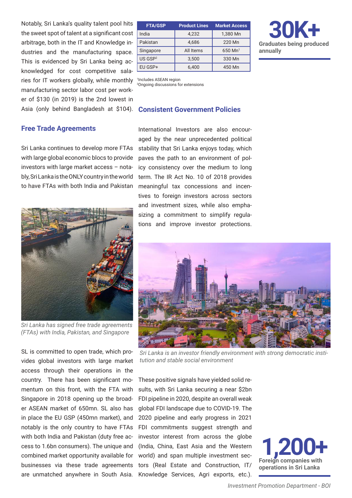Asia (only behind Bangladesh at \$104). Consistent Government Policies Notably, Sri Lanka's quality talent pool hits the sweet spot of talent at a significant cost arbitrage, both in the IT and Knowledge industries and the manufacturing space. This is evidenced by Sri Lanka being acknowledged for cost competitive salaries for IT workers globally, while monthly manufacturing sector labor cost per worker of \$130 (in 2019) is the 2nd lowest in

## **Free Trade Agreements**

Sri Lanka continues to develop more FTAs with large global economic blocs to provide investors with large market access – notably, Sri Lanka is the ONLY country in the world to have FTAs with both India and Pakistan



*Sri Lanka has signed free trade agreements (FTAs) with India, Pakistan, and Singapore* 

SL is committed to open trade, which provides global investors with large market access through their operations in the country. There has been significant momentum on this front, with the FTA with Singapore in 2018 opening up the broader ASEAN market of 650mn. SL also has in place the EU GSP (450mn market), and notably is the only country to have FTAs with both India and Pakistan (duty free access to 1.6bn consumers). The unique and combined market opportunity available for businesses via these trade agreements are unmatched anywhere in South Asia.

| <b>FTA/GSP</b>      | <b>Product Lines</b> | <b>Market Access</b> |
|---------------------|----------------------|----------------------|
| India               | 4,232                | 1,380 Mn             |
| Pakistan            | 4.686                | 220 Mn               |
| Singapore           | All Items            | $650 \text{ Mn}^1$   |
| US GSP <sup>2</sup> | 3,500                | 330 Mn               |
| EU GSP+             | 6.400                | 450 Mn               |



1 Includes ASEAN region 2 Ongoing discussions for extensions

International Investors are also encouraged by the near unprecedented political stability that Sri Lanka enjoys today, which paves the path to an environment of policy consistency over the medium to long term. The IR Act No. 10 of 2018 provides meaningful tax concessions and incentives to foreign investors across sectors and investment sizes, while also emphasizing a commitment to simplify regulations and improve investor protections.



*Sri Lanka is an investor friendly environment with strong democratic institution and stable social environment*

These positive signals have yielded solid results, with Sri Lanka securing a near \$2bn FDI pipeline in 2020, despite an overall weak global FDI landscape due to COVID-19. The 2020 pipeline and early progress in 2021 FDI commitments suggest strength and investor interest from across the globe (India, China, East Asia and the Western world) and span multiple investment sectors (Real Estate and Construction, IT/ Knowledge Services, Agri exports, etc.).